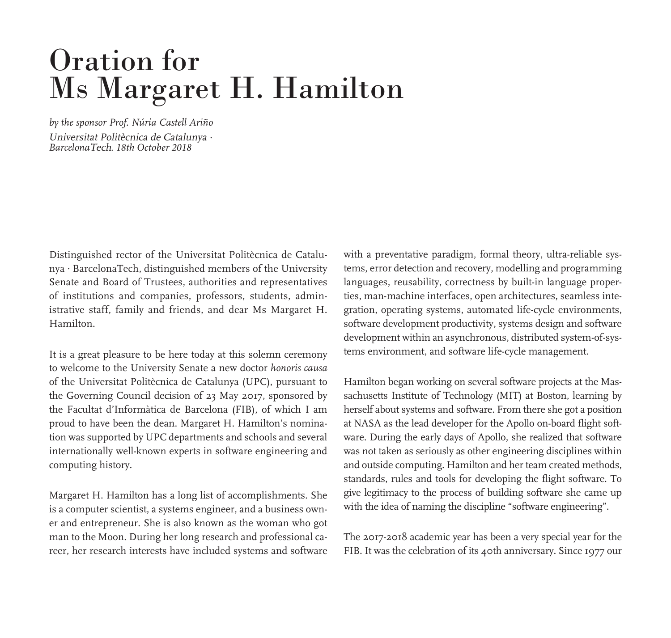## Oration for Ms Margaret H. Hamilton

*by the sponsor Prof. Núria Castell Ariño* Universitat Politècnica de Catalunya *. Barcelona*Tech*. 18th October 2018*

Distinguished rector of the Universitat Politècnica de Catalunya *.* BarcelonaTech, distinguished members of the University Senate and Board of Trustees, authorities and representatives of institutions and companies, professors, students, administrative staff, family and friends, and dear Ms Margaret H. Hamilton.

It is a great pleasure to be here today at this solemn ceremony to welcome to the University Senate a new doctor *honoris causa*  of the Universitat Politècnica de Catalunya (UPC), pursuant to the Governing Council decision of 23 May 2017, sponsored by the Facultat d'Informàtica de Barcelona (FIB), of which I am proud to have been the dean. Margaret H. Hamilton's nomination was supported by UPC departments and schools and several internationally well-known experts in software engineering and computing history.

Margaret H. Hamilton has a long list of accomplishments. She is a computer scientist, a systems engineer, and a business owner and entrepreneur. She is also known as the woman who got man to the Moon. During her long research and professional career, her research interests have included systems and software

with a preventative paradigm, formal theory, ultra-reliable systems, error detection and recovery, modelling and programming languages, reusability, correctness by built-in language properties, man-machine interfaces, open architectures, seamless integration, operating systems, automated life-cycle environments, software development productivity, systems design and software development within an asynchronous, distributed system-of-systems environment, and software life-cycle management.

Hamilton began working on several software projects at the Massachusetts Institute of Technology (MIT) at Boston, learning by herself about systems and software. From there she got a position at NASA as the lead developer for the Apollo on-board flight software. During the early days of Apollo, she realized that software was not taken as seriously as other engineering disciplines within and outside computing. Hamilton and her team created methods, standards, rules and tools for developing the flight software. To give legitimacy to the process of building software she came up with the idea of naming the discipline "software engineering".

The 2017-2018 academic year has been a very special year for the FIB. It was the celebration of its 40th anniversary. Since 1977 our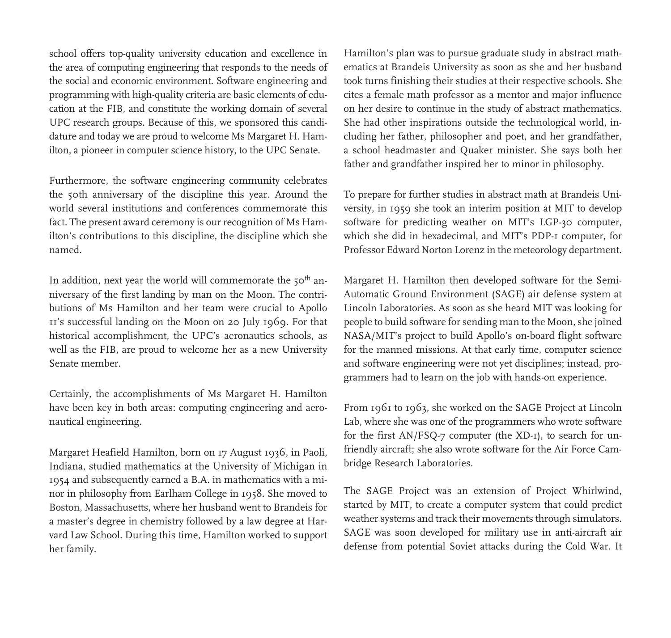school offers top-quality university education and excellence in the area of computing engineering that responds to the needs of the social and economic environment. Software engineering and programming with high-quality criteria are basic elements of education at the FIB, and constitute the working domain of several UPC research groups. Because of this, we sponsored this candidature and today we are proud to welcome Ms Margaret H. Hamilton, a pioneer in computer science history, to the UPC Senate.

Furthermore, the software engineering community celebrates the 50th anniversary of the discipline this year. Around the world several institutions and conferences commemorate this fact. The present award ceremony is our recognition of Ms Hamilton's contributions to this discipline, the discipline which she named.

In addition, next year the world will commemorate the  $50<sup>th</sup>$  anniversary of the first landing by man on the Moon. The contributions of Ms Hamilton and her team were crucial to Apollo 11's successful landing on the Moon on 20 July 1969. For that historical accomplishment, the UPC's aeronautics schools, as well as the FIB, are proud to welcome her as a new University Senate member.

Certainly, the accomplishments of Ms Margaret H. Hamilton have been key in both areas: computing engineering and aeronautical engineering.

Margaret Heafield Hamilton, born on 17 August 1936, in Paoli, Indiana, studied mathematics at the University of Michigan in 1954 and subsequently earned a B.A. in mathematics with a minor in philosophy from Earlham College in 1958. She moved to Boston, Massachusetts, where her husband went to Brandeis for a master's degree in chemistry followed by a law degree at Harvard Law School. During this time, Hamilton worked to support her family.

Hamilton's plan was to pursue graduate study in abstract mathematics at Brandeis University as soon as she and her husband took turns finishing their studies at their respective schools. She cites a female math professor as a mentor and major influence on her desire to continue in the study of abstract mathematics. She had other inspirations outside the technological world, including her father, philosopher and poet, and her grandfather, a school headmaster and Quaker minister. She says both her father and grandfather inspired her to minor in philosophy.

To prepare for further studies in abstract math at Brandeis University, in 1959 she took an interim position at MIT to develop software for predicting weather on MIT's LGP-30 computer, which she did in hexadecimal, and MIT's PDP-1 computer, for Professor Edward Norton Lorenz in the meteorology department.

Margaret H. Hamilton then developed software for the Semi-Automatic Ground Environment (SAGE) air defense system at Lincoln Laboratories. As soon as she heard MIT was looking for people to build software for sending man to the Moon, she joined NASA/MIT's project to build Apollo's on-board flight software for the manned missions. At that early time, computer science and software engineering were not yet disciplines; instead, programmers had to learn on the job with hands-on experience.

From 1961 to 1963, she worked on the SAGE Project at Lincoln Lab, where she was one of the programmers who wrote software for the first AN/FSQ-7 computer (the XD-1), to search for unfriendly aircraft; she also wrote software for the Air Force Cambridge Research Laboratories.

The SAGE Project was an extension of Project Whirlwind, started by MIT, to create a computer system that could predict weather systems and track their movements through simulators. SAGE was soon developed for military use in anti-aircraft air defense from potential Soviet attacks during the Cold War. It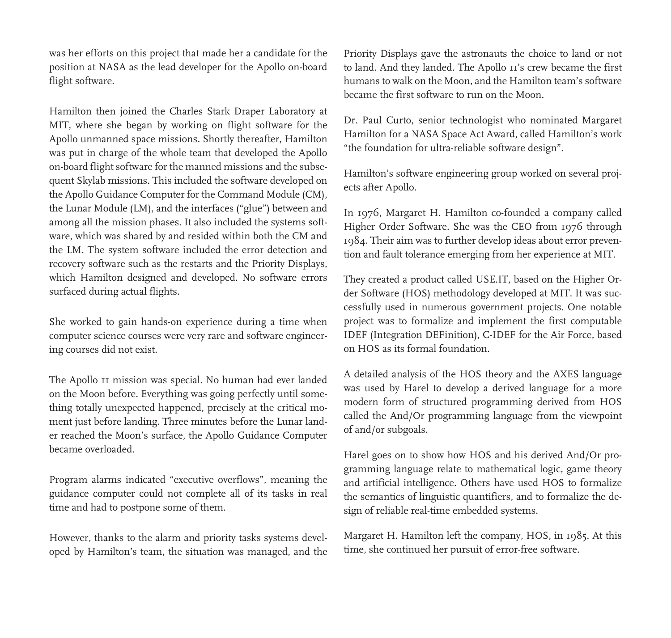was her efforts on this project that made her a candidate for the position at NASA as the lead developer for the Apollo on-board flight software.

Hamilton then joined the Charles Stark Draper Laboratory at MIT, where she began by working on flight software for the Apollo unmanned space missions. Shortly thereafter, Hamilton was put in charge of the whole team that developed the Apollo on-board flight software for the manned missions and the subsequent Skylab missions. This included the software developed on the Apollo Guidance Computer for the Command Module (CM), the Lunar Module (LM), and the interfaces ("glue") between and among all the mission phases. It also included the systems software, which was shared by and resided within both the CM and the LM. The system software included the error detection and recovery software such as the restarts and the Priority Displays, which Hamilton designed and developed. No software errors surfaced during actual flights.

She worked to gain hands-on experience during a time when computer science courses were very rare and software engineering courses did not exist.

The Apollo 11 mission was special. No human had ever landed on the Moon before. Everything was going perfectly until something totally unexpected happened, precisely at the critical moment just before landing. Three minutes before the Lunar lander reached the Moon's surface, the Apollo Guidance Computer became overloaded.

Program alarms indicated "executive overflows", meaning the guidance computer could not complete all of its tasks in real time and had to postpone some of them.

However, thanks to the alarm and priority tasks systems developed by Hamilton's team, the situation was managed, and the Priority Displays gave the astronauts the choice to land or not to land. And they landed. The Apollo 11's crew became the first humans to walk on the Moon, and the Hamilton team's software became the first software to run on the Moon.

Dr. Paul Curto, senior technologist who nominated Margaret Hamilton for a NASA Space Act Award, called Hamilton's work "the foundation for ultra-reliable software design".

Hamilton's software engineering group worked on several projects after Apollo.

In 1976, Margaret H. Hamilton co-founded a company called Higher Order Software. She was the CEO from 1976 through 1984. Their aim was to further develop ideas about error prevention and fault tolerance emerging from her experience at MIT.

They created a product called USE.IT, based on the Higher Order Software (HOS) methodology developed at MIT. It was successfully used in numerous government projects. One notable project was to formalize and implement the first computable IDEF (Integration DEFinition), C-IDEF for the Air Force, based on HOS as its formal foundation.

A detailed analysis of the HOS theory and the AXES language was used by Harel to develop a derived language for a more modern form of structured programming derived from HOS called the And/Or programming language from the viewpoint of and/or subgoals.

Harel goes on to show how HOS and his derived And/Or programming language relate to mathematical logic, game theory and artificial intelligence. Others have used HOS to formalize the semantics of linguistic quantifiers, and to formalize the design of reliable real-time embedded systems.

Margaret H. Hamilton left the company, HOS, in 1985. At this time, she continued her pursuit of error-free software.